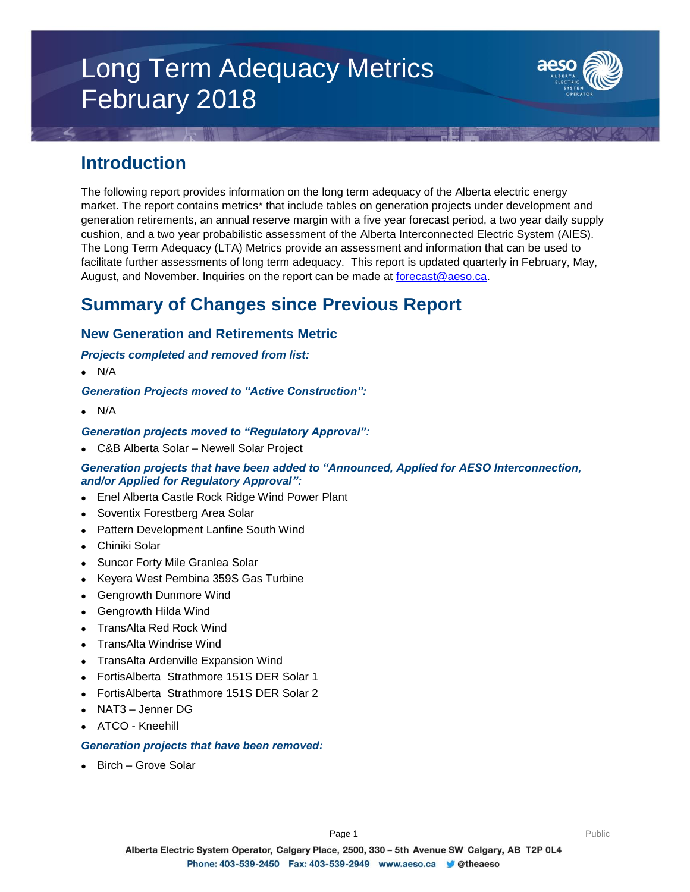# Long Term Adequacy Metrics February 2018



### **Introduction**

The following report provides information on the long term adequacy of the Alberta electric energy market. The report contains metrics\* that include tables on generation projects under development and generation retirements, an annual reserve margin with a five year forecast period, a two year daily supply cushion, and a two year probabilistic assessment of the Alberta Interconnected Electric System (AIES). The Long Term Adequacy (LTA) Metrics provide an assessment and information that can be used to facilitate further assessments of long term adequacy. This report is updated quarterly in February, May, August, and November. Inquiries on the report can be made at [forecast@aeso.ca.](mailto:forecast@aeso.ca)

### **Summary of Changes since Previous Report**

### **New Generation and Retirements Metric**

### *Projects completed and removed from list:*

 $\bullet$  N/A

### *Generation Projects moved to "Active Construction":*

 $\bullet$  N/A

### *Generation projects moved to "Regulatory Approval":*

C&B Alberta Solar – Newell Solar Project

### *Generation projects that have been added to "Announced, Applied for AESO Interconnection, and/or Applied for Regulatory Approval":*

- Enel Alberta Castle Rock Ridge Wind Power Plant
- Soventix Forestberg Area Solar
- Pattern Development Lanfine South Wind
- Chiniki Solar
- Suncor Forty Mile Granlea Solar
- Keyera West Pembina 359S Gas Turbine
- Gengrowth Dunmore Wind
- Gengrowth Hilda Wind
- TransAlta Red Rock Wind
- TransAlta Windrise Wind
- TransAlta Ardenville Expansion Wind
- FortisAlberta Strathmore 151S DER Solar 1
- FortisAlberta Strathmore 151S DER Solar 2
- NAT3 Jenner DG
- ATCO Kneehill

#### *Generation projects that have been removed:*

Birch – Grove Solar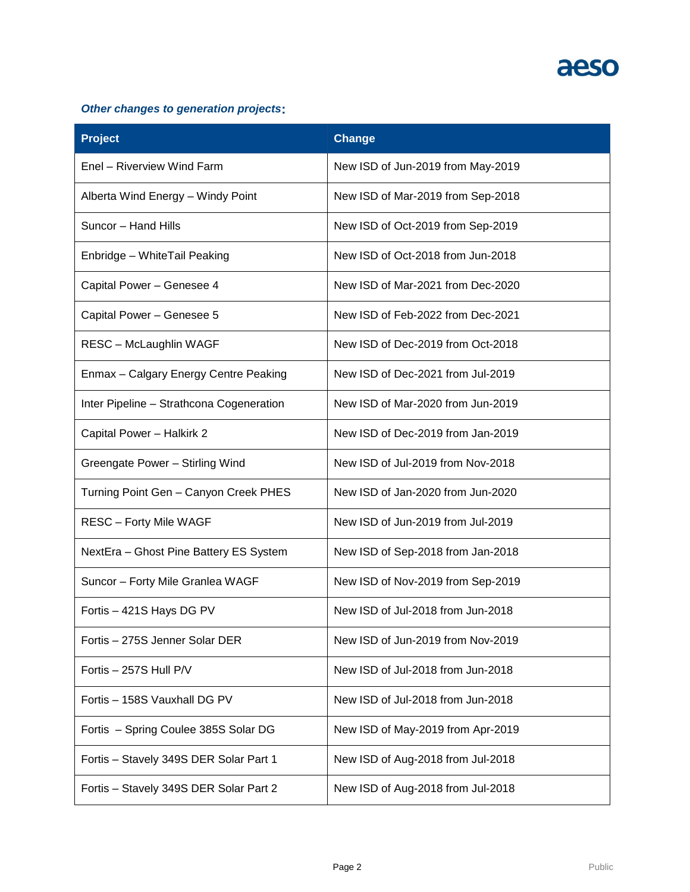# aeso

### *Other changes to generation projects***:**

| <b>Project</b>                           | <b>Change</b>                     |
|------------------------------------------|-----------------------------------|
| Enel - Riverview Wind Farm               | New ISD of Jun-2019 from May-2019 |
| Alberta Wind Energy - Windy Point        | New ISD of Mar-2019 from Sep-2018 |
| Suncor - Hand Hills                      | New ISD of Oct-2019 from Sep-2019 |
| Enbridge - WhiteTail Peaking             | New ISD of Oct-2018 from Jun-2018 |
| Capital Power - Genesee 4                | New ISD of Mar-2021 from Dec-2020 |
| Capital Power - Genesee 5                | New ISD of Feb-2022 from Dec-2021 |
| <b>RESC - McLaughlin WAGF</b>            | New ISD of Dec-2019 from Oct-2018 |
| Enmax - Calgary Energy Centre Peaking    | New ISD of Dec-2021 from Jul-2019 |
| Inter Pipeline - Strathcona Cogeneration | New ISD of Mar-2020 from Jun-2019 |
| Capital Power - Halkirk 2                | New ISD of Dec-2019 from Jan-2019 |
| Greengate Power - Stirling Wind          | New ISD of Jul-2019 from Nov-2018 |
| Turning Point Gen - Canyon Creek PHES    | New ISD of Jan-2020 from Jun-2020 |
| <b>RESC - Forty Mile WAGF</b>            | New ISD of Jun-2019 from Jul-2019 |
| NextEra - Ghost Pine Battery ES System   | New ISD of Sep-2018 from Jan-2018 |
| Suncor - Forty Mile Granlea WAGF         | New ISD of Nov-2019 from Sep-2019 |
| Fortis - 421S Hays DG PV                 | New ISD of Jul-2018 from Jun-2018 |
| Fortis - 275S Jenner Solar DER           | New ISD of Jun-2019 from Nov-2019 |
| Fortis - 257S Hull P/V                   | New ISD of Jul-2018 from Jun-2018 |
| Fortis - 158S Vauxhall DG PV             | New ISD of Jul-2018 from Jun-2018 |
| Fortis - Spring Coulee 385S Solar DG     | New ISD of May-2019 from Apr-2019 |
| Fortis - Stavely 349S DER Solar Part 1   | New ISD of Aug-2018 from Jul-2018 |
| Fortis - Stavely 349S DER Solar Part 2   | New ISD of Aug-2018 from Jul-2018 |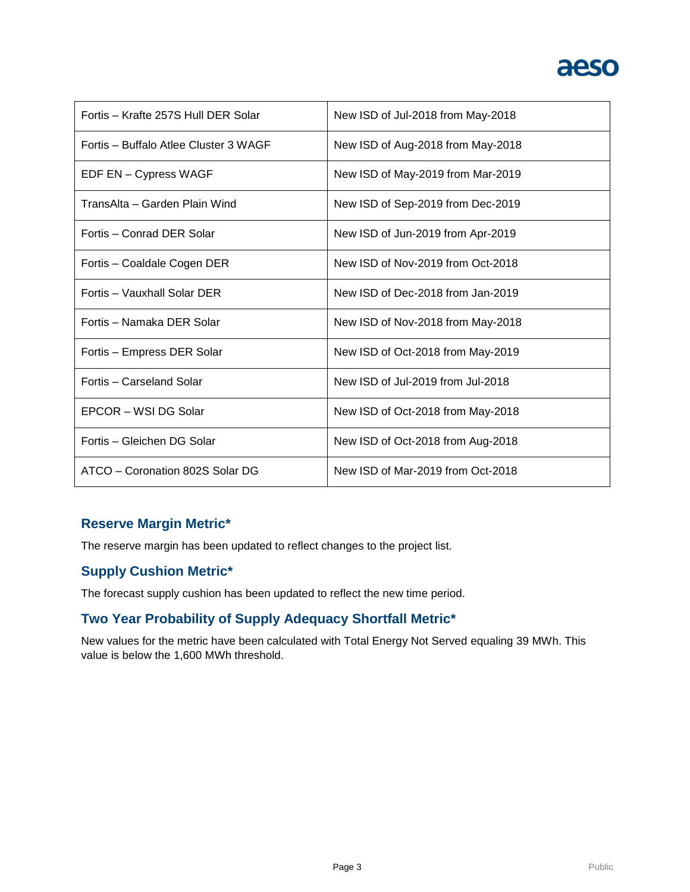# aeso

| Fortis - Krafte 257S Hull DER Solar   | New ISD of Jul-2018 from May-2018 |
|---------------------------------------|-----------------------------------|
| Fortis - Buffalo Atlee Cluster 3 WAGF | New ISD of Aug-2018 from May-2018 |
| EDF EN - Cypress WAGF                 | New ISD of May-2019 from Mar-2019 |
| TransAlta – Garden Plain Wind         | New ISD of Sep-2019 from Dec-2019 |
| Fortis - Conrad DER Solar             | New ISD of Jun-2019 from Apr-2019 |
| Fortis - Coaldale Cogen DER           | New ISD of Nov-2019 from Oct-2018 |
| Fortis - Vauxhall Solar DER           | New ISD of Dec-2018 from Jan-2019 |
| Fortis – Namaka DER Solar             | New ISD of Nov-2018 from May-2018 |
| Fortis - Empress DER Solar            | New ISD of Oct-2018 from May-2019 |
| Fortis - Carseland Solar              | New ISD of Jul-2019 from Jul-2018 |
| EPCOR - WSI DG Solar                  | New ISD of Oct-2018 from May-2018 |
| Fortis - Gleichen DG Solar            | New ISD of Oct-2018 from Aug-2018 |
| ATCO - Coronation 802S Solar DG       | New ISD of Mar-2019 from Oct-2018 |

### **Reserve Margin Metric\***

The reserve margin has been updated to reflect changes to the project list.

### **Supply Cushion Metric\***

The forecast supply cushion has been updated to reflect the new time period.

### **Two Year Probability of Supply Adequacy Shortfall Metric\***

New values for the metric have been calculated with Total Energy Not Served equaling 39 MWh. This value is below the 1,600 MWh threshold.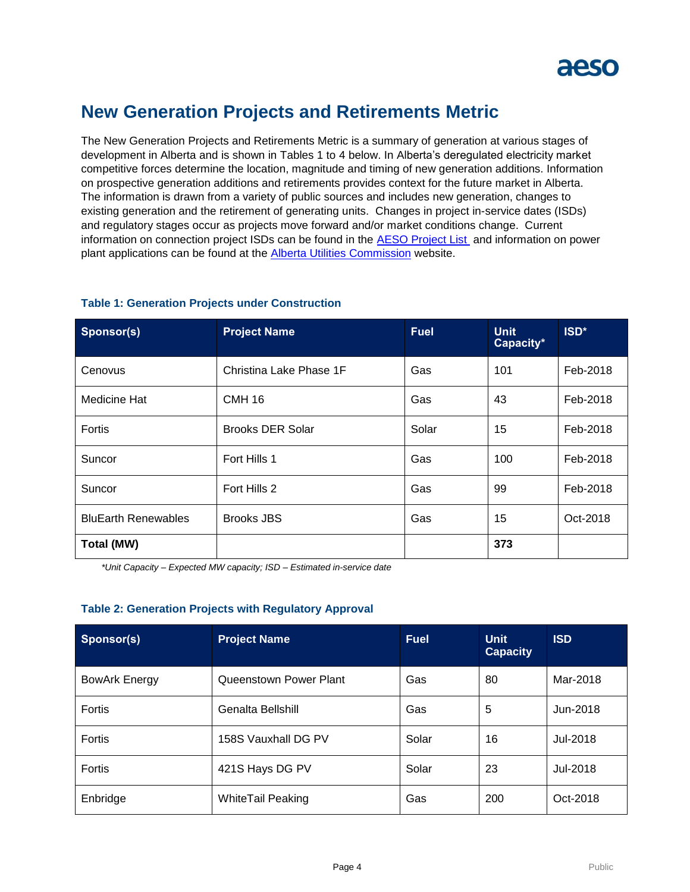

### **New Generation Projects and Retirements Metric**

The New Generation Projects and Retirements Metric is a summary of generation at various stages of development in Alberta and is shown in Tables 1 to 4 below. In Alberta's deregulated electricity market competitive forces determine the location, magnitude and timing of new generation additions. Information on prospective generation additions and retirements provides context for the future market in Alberta. The information is drawn from a variety of public sources and includes new generation, changes to existing generation and the retirement of generating units. Changes in project in-service dates (ISDs) and regulatory stages occur as projects move forward and/or market conditions change. Current information on connection project ISDs can be found in the [AESO Project List](https://www.aeso.ca/grid/connecting-to-the-grid/) and information on power plant applications can be found at the **Alberta Utilities Commission** website.

| Sponsor(s)                 | <b>Project Name</b>     | <b>Fuel</b> | <b>Unit</b><br>Capacity* | ISD*     |
|----------------------------|-------------------------|-------------|--------------------------|----------|
| Cenovus                    | Christina Lake Phase 1F | Gas         | 101                      | Feb-2018 |
| Medicine Hat               | <b>CMH 16</b>           | Gas         | 43                       | Feb-2018 |
| Fortis                     | <b>Brooks DER Solar</b> | Solar       | 15                       | Feb-2018 |
| Suncor                     | Fort Hills 1            | Gas         | 100                      | Feb-2018 |
| Suncor                     | Fort Hills 2            | Gas         | 99                       | Feb-2018 |
| <b>BluEarth Renewables</b> | <b>Brooks JBS</b>       | Gas         | 15                       | Oct-2018 |
| Total (MW)                 |                         |             | 373                      |          |

#### **Table 1: Generation Projects under Construction**

*\*Unit Capacity – Expected MW capacity; ISD – Estimated in-service date*

#### **Table 2: Generation Projects with Regulatory Approval**

| Sponsor(s)           | <b>Project Name</b>      | <b>Fuel</b> | <b>Unit</b><br><b>Capacity</b> | <b>ISD</b> |
|----------------------|--------------------------|-------------|--------------------------------|------------|
| <b>BowArk Energy</b> | Queenstown Power Plant   | Gas         | 80                             | Mar-2018   |
| Fortis               | Genalta Bellshill        | Gas         | 5                              | Jun-2018   |
| <b>Fortis</b>        | 158S Vauxhall DG PV      | Solar       | 16                             | Jul-2018   |
| <b>Fortis</b>        | 421S Hays DG PV          | Solar       | 23                             | Jul-2018   |
| Enbridge             | <b>WhiteTail Peaking</b> | Gas         | 200                            | Oct-2018   |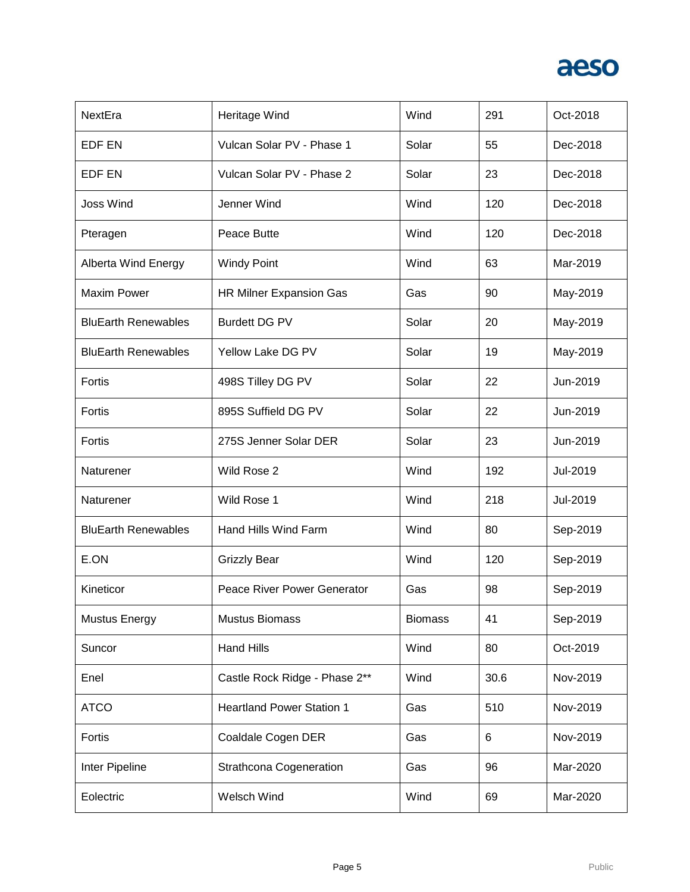

| NextEra                    | Heritage Wind                    | Wind           | 291  | Oct-2018 |
|----------------------------|----------------------------------|----------------|------|----------|
| EDF EN                     | Vulcan Solar PV - Phase 1        | Solar          | 55   | Dec-2018 |
| EDF EN                     | Vulcan Solar PV - Phase 2        | Solar          | 23   | Dec-2018 |
| <b>Joss Wind</b>           | Jenner Wind                      | Wind           | 120  | Dec-2018 |
| Pteragen                   | Peace Butte                      | Wind           | 120  | Dec-2018 |
| <b>Alberta Wind Energy</b> | <b>Windy Point</b>               | Wind           | 63   | Mar-2019 |
| <b>Maxim Power</b>         | HR Milner Expansion Gas          | Gas            | 90   | May-2019 |
| <b>BluEarth Renewables</b> | <b>Burdett DG PV</b>             | Solar          | 20   | May-2019 |
| <b>BluEarth Renewables</b> | Yellow Lake DG PV                | Solar          | 19   | May-2019 |
| Fortis                     | 498S Tilley DG PV                | Solar          | 22   | Jun-2019 |
| Fortis                     | 895S Suffield DG PV              | Solar          | 22   | Jun-2019 |
| Fortis                     | 275S Jenner Solar DER            | Solar          | 23   | Jun-2019 |
| Naturener                  | Wild Rose 2                      | Wind           | 192  | Jul-2019 |
| Naturener                  | Wild Rose 1                      | Wind           | 218  | Jul-2019 |
| <b>BluEarth Renewables</b> | Hand Hills Wind Farm             | Wind           | 80   | Sep-2019 |
| E.ON                       | <b>Grizzly Bear</b>              | Wind           | 120  | Sep-2019 |
| Kineticor                  | Peace River Power Generator      | Gas            | 98   | Sep-2019 |
| <b>Mustus Energy</b>       | <b>Mustus Biomass</b>            | <b>Biomass</b> | 41   | Sep-2019 |
| Suncor                     | <b>Hand Hills</b>                | Wind           | 80   | Oct-2019 |
| Enel                       | Castle Rock Ridge - Phase 2**    | Wind           | 30.6 | Nov-2019 |
| <b>ATCO</b>                | <b>Heartland Power Station 1</b> | Gas            | 510  | Nov-2019 |
| Fortis                     | Coaldale Cogen DER               | Gas            | 6    | Nov-2019 |
| Inter Pipeline             | <b>Strathcona Cogeneration</b>   | Gas            | 96   | Mar-2020 |
| Eolectric                  | Welsch Wind                      | Wind           | 69   | Mar-2020 |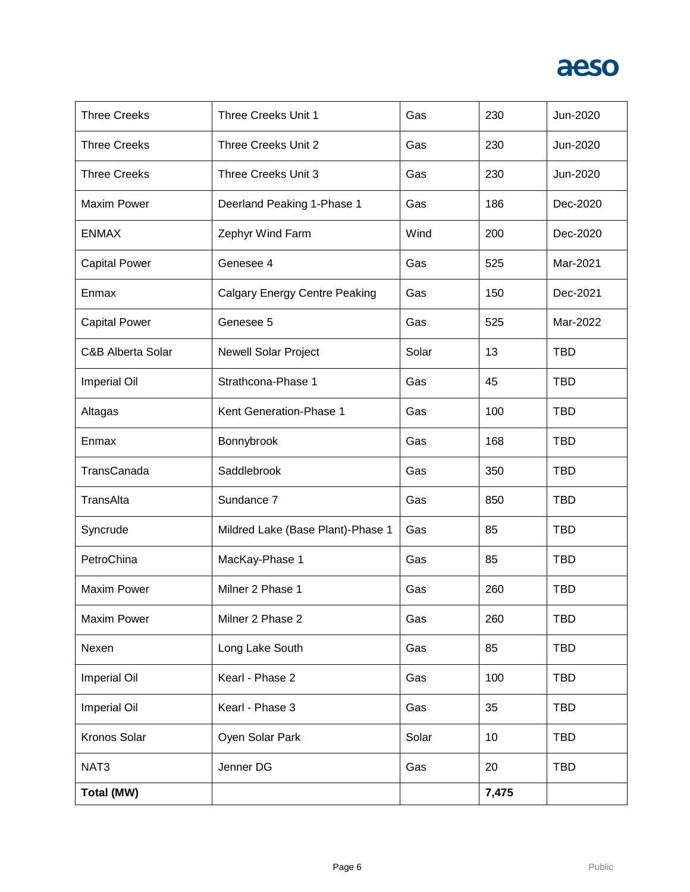

| <b>Three Creeks</b>  | Three Creeks Unit 1                  | Gas   | 230   | Jun-2020   |
|----------------------|--------------------------------------|-------|-------|------------|
| <b>Three Creeks</b>  | Three Creeks Unit 2                  | Gas   | 230   | Jun-2020   |
| <b>Three Creeks</b>  | Three Creeks Unit 3                  | Gas   | 230   | Jun-2020   |
| <b>Maxim Power</b>   | Deerland Peaking 1-Phase 1           | Gas   | 186   | Dec-2020   |
| <b>ENMAX</b>         | Zephyr Wind Farm                     | Wind  | 200   | Dec-2020   |
| <b>Capital Power</b> | Genesee 4                            | Gas   | 525   | Mar-2021   |
| Enmax                | <b>Calgary Energy Centre Peaking</b> | Gas   | 150   | Dec-2021   |
| <b>Capital Power</b> | Genesee 5                            | Gas   | 525   | Mar-2022   |
| C&B Alberta Solar    | <b>Newell Solar Project</b>          | Solar | 13    | <b>TBD</b> |
| <b>Imperial Oil</b>  | Strathcona-Phase 1                   | Gas   | 45    | <b>TBD</b> |
| Altagas              | Kent Generation-Phase 1              | Gas   | 100   | <b>TBD</b> |
| Enmax                | Bonnybrook                           | Gas   | 168   | <b>TBD</b> |
| TransCanada          | Saddlebrook                          | Gas   | 350   | <b>TBD</b> |
| TransAlta            | Sundance 7                           | Gas   | 850   | <b>TBD</b> |
| Syncrude             | Mildred Lake (Base Plant)-Phase 1    | Gas   | 85    | <b>TBD</b> |
| PetroChina           | MacKay-Phase 1                       | Gas   | 85    | <b>TBD</b> |
| <b>Maxim Power</b>   | Milner 2 Phase 1                     | Gas   | 260   | <b>TBD</b> |
| <b>Maxim Power</b>   | Milner 2 Phase 2                     | Gas   | 260   | <b>TBD</b> |
| Nexen                | Long Lake South                      | Gas   | 85    | <b>TBD</b> |
| <b>Imperial Oil</b>  | Kearl - Phase 2                      | Gas   | 100   | <b>TBD</b> |
| <b>Imperial Oil</b>  | Kearl - Phase 3                      | Gas   | 35    | <b>TBD</b> |
| Kronos Solar         | Oyen Solar Park                      | Solar | 10    | <b>TBD</b> |
| NAT <sub>3</sub>     | Jenner DG                            | Gas   | 20    | <b>TBD</b> |
| <b>Total (MW)</b>    |                                      |       | 7,475 |            |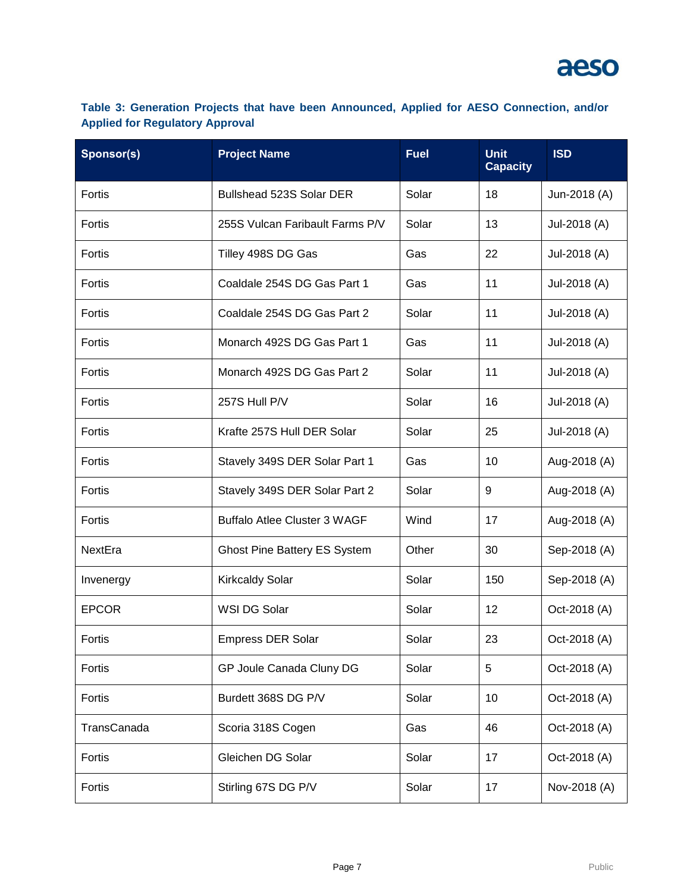### **Table 3: Generation Projects that have been Announced, Applied for AESO Connection, and/or Applied for Regulatory Approval**

| Sponsor(s)   | <b>Project Name</b>                 | <b>Fuel</b> | <b>Unit</b><br><b>Capacity</b> | <b>ISD</b>   |
|--------------|-------------------------------------|-------------|--------------------------------|--------------|
| Fortis       | Bullshead 523S Solar DER            | Solar       | 18                             | Jun-2018 (A) |
| Fortis       | 255S Vulcan Faribault Farms P/V     | Solar       | 13                             | Jul-2018 (A) |
| Fortis       | Tilley 498S DG Gas                  | Gas         | 22                             | Jul-2018 (A) |
| Fortis       | Coaldale 254S DG Gas Part 1         | Gas         | 11                             | Jul-2018 (A) |
| Fortis       | Coaldale 254S DG Gas Part 2         | Solar       | 11                             | Jul-2018 (A) |
| Fortis       | Monarch 492S DG Gas Part 1          | Gas         | 11                             | Jul-2018 (A) |
| Fortis       | Monarch 492S DG Gas Part 2          | Solar       | 11                             | Jul-2018 (A) |
| Fortis       | 257S Hull P/V                       | Solar       | 16                             | Jul-2018 (A) |
| Fortis       | Krafte 257S Hull DER Solar          | Solar       | 25                             | Jul-2018 (A) |
| Fortis       | Stavely 349S DER Solar Part 1       | Gas         | 10                             | Aug-2018 (A) |
| Fortis       | Stavely 349S DER Solar Part 2       | Solar       | 9                              | Aug-2018 (A) |
| Fortis       | <b>Buffalo Atlee Cluster 3 WAGF</b> | Wind        | 17                             | Aug-2018 (A) |
| NextEra      | <b>Ghost Pine Battery ES System</b> | Other       | 30                             | Sep-2018 (A) |
| Invenergy    | <b>Kirkcaldy Solar</b>              | Solar       | 150                            | Sep-2018 (A) |
| <b>EPCOR</b> | WSI DG Solar                        | Solar       | 12                             | Oct-2018 (A) |
| Fortis       | <b>Empress DER Solar</b>            | Solar       | 23                             | Oct-2018 (A) |
| Fortis       | GP Joule Canada Cluny DG            | Solar       | 5                              | Oct-2018 (A) |
| Fortis       | Burdett 368S DG P/V                 | Solar       | 10                             | Oct-2018 (A) |
| TransCanada  | Scoria 318S Cogen                   | Gas         | 46                             | Oct-2018 (A) |
| Fortis       | Gleichen DG Solar                   | Solar       | 17                             | Oct-2018 (A) |
| Fortis       | Stirling 67S DG P/V                 | Solar       | 17                             | Nov-2018 (A) |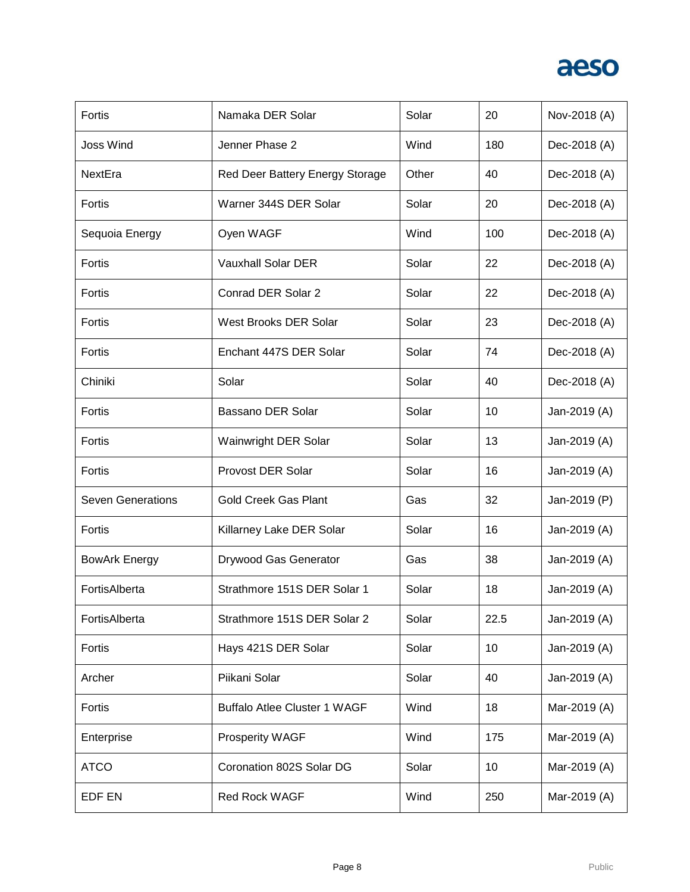

| Fortis                   | Namaka DER Solar                    | Solar | 20   | Nov-2018 (A) |
|--------------------------|-------------------------------------|-------|------|--------------|
| <b>Joss Wind</b>         | Jenner Phase 2                      | Wind  | 180  | Dec-2018 (A) |
| NextEra                  | Red Deer Battery Energy Storage     | Other | 40   | Dec-2018 (A) |
| Fortis                   | Warner 344S DER Solar               | Solar | 20   | Dec-2018 (A) |
| Sequoia Energy           | Oyen WAGF                           | Wind  | 100  | Dec-2018 (A) |
| Fortis                   | <b>Vauxhall Solar DER</b>           | Solar | 22   | Dec-2018 (A) |
| Fortis                   | Conrad DER Solar 2                  | Solar | 22   | Dec-2018 (A) |
| Fortis                   | West Brooks DER Solar               | Solar | 23   | Dec-2018 (A) |
| Fortis                   | Enchant 447S DER Solar              | Solar | 74   | Dec-2018 (A) |
| Chiniki                  | Solar                               | Solar | 40   | Dec-2018 (A) |
| Fortis                   | Bassano DER Solar                   | Solar | 10   | Jan-2019 (A) |
| Fortis                   | Wainwright DER Solar                | Solar | 13   | Jan-2019 (A) |
| Fortis                   | <b>Provost DER Solar</b>            | Solar | 16   | Jan-2019 (A) |
| <b>Seven Generations</b> | <b>Gold Creek Gas Plant</b>         | Gas   | 32   | Jan-2019 (P) |
| Fortis                   | Killarney Lake DER Solar            | Solar | 16   | Jan-2019 (A) |
| <b>BowArk Energy</b>     | Drywood Gas Generator               | Gas   | 38   | Jan-2019 (A) |
| FortisAlberta            | Strathmore 151S DER Solar 1         | Solar | 18   | Jan-2019 (A) |
| FortisAlberta            | Strathmore 151S DER Solar 2         | Solar | 22.5 | Jan-2019 (A) |
| Fortis                   | Hays 421S DER Solar                 | Solar | 10   | Jan-2019 (A) |
| Archer                   | Piikani Solar                       | Solar | 40   | Jan-2019 (A) |
| Fortis                   | <b>Buffalo Atlee Cluster 1 WAGF</b> | Wind  | 18   | Mar-2019 (A) |
| Enterprise               | Prosperity WAGF                     | Wind  | 175  | Mar-2019 (A) |
| <b>ATCO</b>              | Coronation 802S Solar DG            | Solar | 10   | Mar-2019 (A) |
| EDF EN                   | Red Rock WAGF                       | Wind  | 250  | Mar-2019 (A) |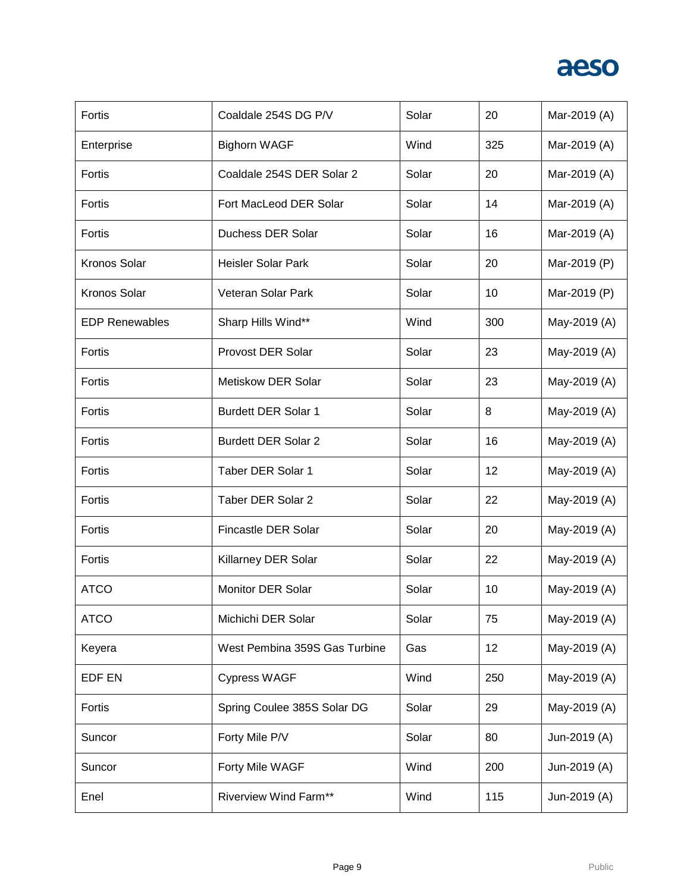

| Fortis                | Coaldale 254S DG P/V          | Solar | 20  | Mar-2019 (A) |
|-----------------------|-------------------------------|-------|-----|--------------|
| Enterprise            | <b>Bighorn WAGF</b>           | Wind  | 325 | Mar-2019 (A) |
| Fortis                | Coaldale 254S DER Solar 2     | Solar | 20  | Mar-2019 (A) |
| Fortis                | Fort MacLeod DER Solar        | Solar | 14  | Mar-2019 (A) |
| Fortis                | Duchess DER Solar             | Solar | 16  | Mar-2019 (A) |
| Kronos Solar          | <b>Heisler Solar Park</b>     | Solar | 20  | Mar-2019 (P) |
| Kronos Solar          | Veteran Solar Park            | Solar | 10  | Mar-2019 (P) |
| <b>EDP Renewables</b> | Sharp Hills Wind**            | Wind  | 300 | May-2019 (A) |
| Fortis                | <b>Provost DER Solar</b>      | Solar | 23  | May-2019 (A) |
| Fortis                | Metiskow DER Solar            | Solar | 23  | May-2019 (A) |
| Fortis                | <b>Burdett DER Solar 1</b>    | Solar | 8   | May-2019 (A) |
| Fortis                | <b>Burdett DER Solar 2</b>    | Solar | 16  | May-2019 (A) |
| Fortis                | <b>Taber DER Solar 1</b>      | Solar | 12  | May-2019 (A) |
| Fortis                | <b>Taber DER Solar 2</b>      | Solar | 22  | May-2019 (A) |
| Fortis                | Fincastle DER Solar           | Solar | 20  | May-2019 (A) |
| Fortis                | Killarney DER Solar           | Solar | 22  | May-2019 (A) |
| <b>ATCO</b>           | <b>Monitor DER Solar</b>      | Solar | 10  | May-2019 (A) |
| <b>ATCO</b>           | Michichi DER Solar            | Solar | 75  | May-2019 (A) |
| Keyera                | West Pembina 359S Gas Turbine | Gas   | 12  | May-2019 (A) |
| EDF EN                | <b>Cypress WAGF</b>           | Wind  | 250 | May-2019 (A) |
| Fortis                | Spring Coulee 385S Solar DG   | Solar | 29  | May-2019 (A) |
| Suncor                | Forty Mile P/V                | Solar | 80  | Jun-2019 (A) |
| Suncor                | Forty Mile WAGF               | Wind  | 200 | Jun-2019 (A) |
| Enel                  | <b>Riverview Wind Farm**</b>  | Wind  | 115 | Jun-2019 (A) |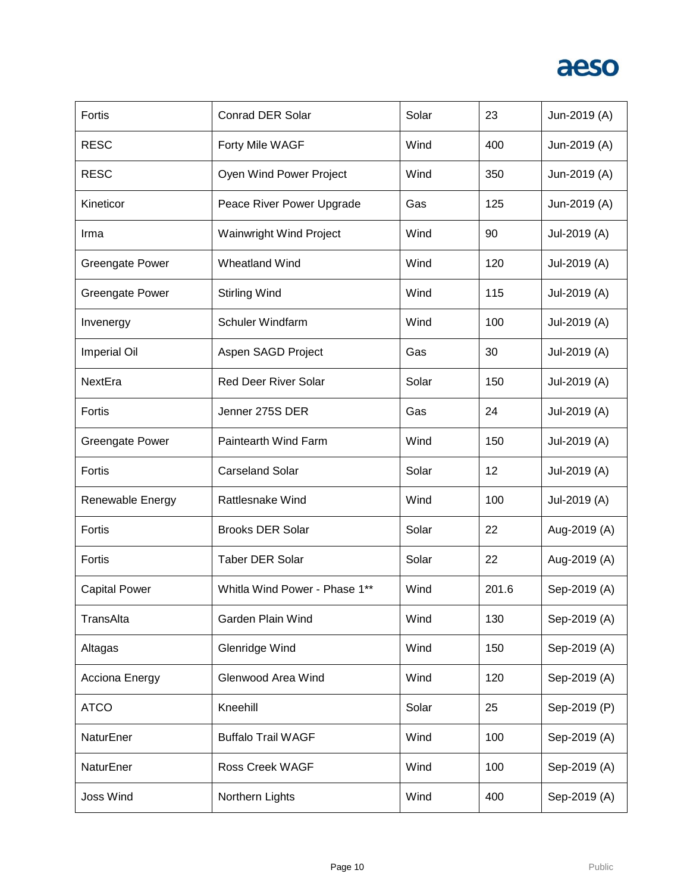

| Fortis                 | <b>Conrad DER Solar</b>        | Solar | 23    | Jun-2019 (A) |
|------------------------|--------------------------------|-------|-------|--------------|
| <b>RESC</b>            | Forty Mile WAGF                | Wind  | 400   | Jun-2019 (A) |
| <b>RESC</b>            | Oyen Wind Power Project        | Wind  | 350   | Jun-2019 (A) |
| Kineticor              | Peace River Power Upgrade      | Gas   | 125   | Jun-2019 (A) |
| Irma                   | <b>Wainwright Wind Project</b> | Wind  | 90    | Jul-2019 (A) |
| <b>Greengate Power</b> | Wheatland Wind                 | Wind  | 120   | Jul-2019 (A) |
| <b>Greengate Power</b> | <b>Stirling Wind</b>           | Wind  | 115   | Jul-2019 (A) |
| Invenergy              | <b>Schuler Windfarm</b>        | Wind  | 100   | Jul-2019 (A) |
| <b>Imperial Oil</b>    | Aspen SAGD Project             | Gas   | 30    | Jul-2019 (A) |
| NextEra                | <b>Red Deer River Solar</b>    | Solar | 150   | Jul-2019 (A) |
| Fortis                 | Jenner 275S DER                | Gas   | 24    | Jul-2019 (A) |
| <b>Greengate Power</b> | Paintearth Wind Farm           | Wind  | 150   | Jul-2019 (A) |
| Fortis                 | <b>Carseland Solar</b>         | Solar | 12    | Jul-2019 (A) |
| Renewable Energy       | <b>Rattlesnake Wind</b>        | Wind  | 100   | Jul-2019 (A) |
| Fortis                 | <b>Brooks DER Solar</b>        | Solar | 22    | Aug-2019 (A) |
| Fortis                 | <b>Taber DER Solar</b>         | Solar | 22    | Aug-2019 (A) |
| <b>Capital Power</b>   | Whitla Wind Power - Phase 1**  | Wind  | 201.6 | Sep-2019 (A) |
| TransAlta              | Garden Plain Wind              | Wind  | 130   | Sep-2019 (A) |
| Altagas                | Glenridge Wind                 | Wind  | 150   | Sep-2019 (A) |
| Acciona Energy         | Glenwood Area Wind             | Wind  | 120   | Sep-2019 (A) |
| <b>ATCO</b>            | Kneehill                       | Solar | 25    | Sep-2019 (P) |
| NaturEner              | <b>Buffalo Trail WAGF</b>      | Wind  | 100   | Sep-2019 (A) |
| NaturEner              | <b>Ross Creek WAGF</b>         | Wind  | 100   | Sep-2019 (A) |
| <b>Joss Wind</b>       | Northern Lights                | Wind  | 400   | Sep-2019 (A) |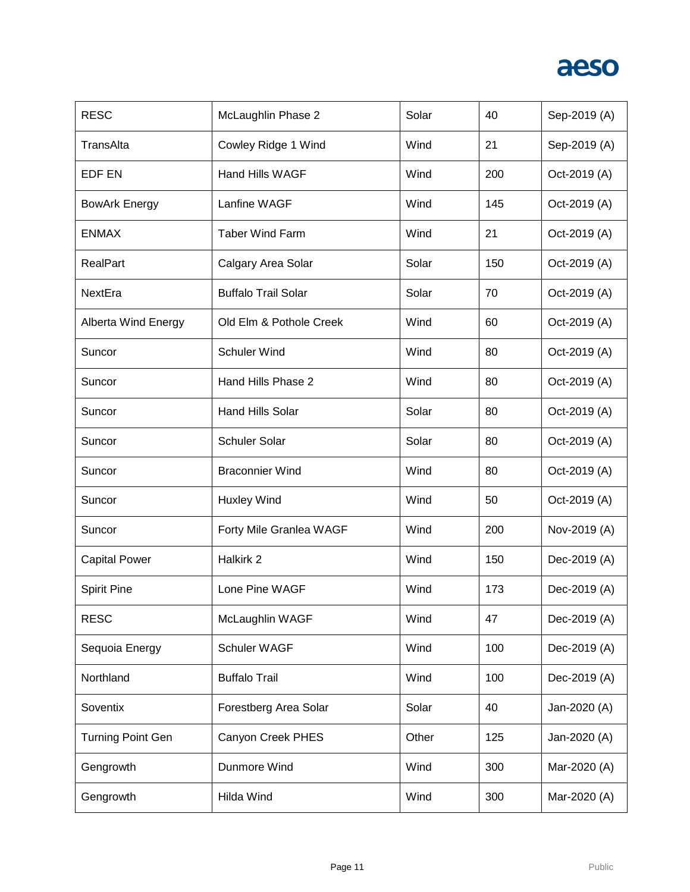

| <b>RESC</b>                | McLaughlin Phase 2         | Solar | 40  | Sep-2019 (A) |
|----------------------------|----------------------------|-------|-----|--------------|
| TransAlta                  | Cowley Ridge 1 Wind        | Wind  | 21  | Sep-2019 (A) |
| <b>EDF EN</b>              | <b>Hand Hills WAGF</b>     | Wind  | 200 | Oct-2019 (A) |
| <b>BowArk Energy</b>       | Lanfine WAGF               | Wind  | 145 | Oct-2019 (A) |
| <b>ENMAX</b>               | <b>Taber Wind Farm</b>     | Wind  | 21  | Oct-2019 (A) |
| <b>RealPart</b>            | Calgary Area Solar         | Solar | 150 | Oct-2019 (A) |
| NextEra                    | <b>Buffalo Trail Solar</b> | Solar | 70  | Oct-2019 (A) |
| <b>Alberta Wind Energy</b> | Old Elm & Pothole Creek    | Wind  | 60  | Oct-2019 (A) |
| Suncor                     | <b>Schuler Wind</b>        | Wind  | 80  | Oct-2019 (A) |
| Suncor                     | Hand Hills Phase 2         | Wind  | 80  | Oct-2019 (A) |
| Suncor                     | <b>Hand Hills Solar</b>    | Solar | 80  | Oct-2019 (A) |
| Suncor                     | <b>Schuler Solar</b>       | Solar | 80  | Oct-2019 (A) |
| Suncor                     | <b>Braconnier Wind</b>     | Wind  | 80  | Oct-2019 (A) |
| Suncor                     | <b>Huxley Wind</b>         | Wind  | 50  | Oct-2019 (A) |
| Suncor                     | Forty Mile Granlea WAGF    | Wind  | 200 | Nov-2019 (A) |
| <b>Capital Power</b>       | Halkirk 2                  | Wind  | 150 | Dec-2019 (A) |
| <b>Spirit Pine</b>         | Lone Pine WAGF             | Wind  | 173 | Dec-2019 (A) |
| <b>RESC</b>                | McLaughlin WAGF            | Wind  | 47  | Dec-2019 (A) |
| Sequoia Energy             | Schuler WAGF               | Wind  | 100 | Dec-2019 (A) |
| Northland                  | <b>Buffalo Trail</b>       | Wind  | 100 | Dec-2019 (A) |
| Soventix                   | Forestberg Area Solar      | Solar | 40  | Jan-2020 (A) |
| <b>Turning Point Gen</b>   | Canyon Creek PHES          | Other | 125 | Jan-2020 (A) |
| Gengrowth                  | Dunmore Wind               | Wind  | 300 | Mar-2020 (A) |
| Gengrowth                  | <b>Hilda Wind</b>          | Wind  | 300 | Mar-2020 (A) |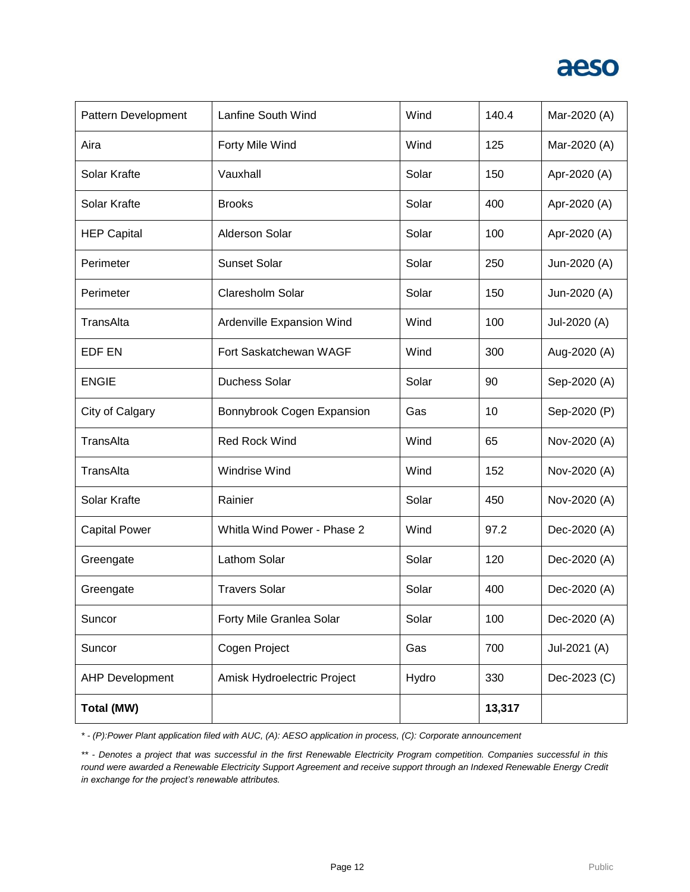

| Pattern Development    | Lanfine South Wind          | Wind  | 140.4  | Mar-2020 (A) |
|------------------------|-----------------------------|-------|--------|--------------|
| Aira                   | Forty Mile Wind             | Wind  | 125    | Mar-2020 (A) |
| Solar Krafte           | Vauxhall                    | Solar | 150    | Apr-2020 (A) |
| Solar Krafte           | <b>Brooks</b>               | Solar | 400    | Apr-2020 (A) |
| <b>HEP Capital</b>     | <b>Alderson Solar</b>       | Solar | 100    | Apr-2020 (A) |
| Perimeter              | <b>Sunset Solar</b>         | Solar | 250    | Jun-2020 (A) |
| Perimeter              | Claresholm Solar            | Solar | 150    | Jun-2020 (A) |
| TransAlta              | Ardenville Expansion Wind   | Wind  | 100    | Jul-2020 (A) |
| EDF EN                 | Fort Saskatchewan WAGF      | Wind  | 300    | Aug-2020 (A) |
| <b>ENGIE</b>           | <b>Duchess Solar</b>        | Solar | 90     | Sep-2020 (A) |
| City of Calgary        | Bonnybrook Cogen Expansion  | Gas   | 10     | Sep-2020 (P) |
| TransAlta              | <b>Red Rock Wind</b>        | Wind  | 65     | Nov-2020 (A) |
| TransAlta              | <b>Windrise Wind</b>        | Wind  | 152    | Nov-2020 (A) |
| Solar Krafte           | Rainier                     | Solar | 450    | Nov-2020 (A) |
| <b>Capital Power</b>   | Whitla Wind Power - Phase 2 | Wind  | 97.2   | Dec-2020 (A) |
| Greengate              | Lathom Solar                | Solar | 120    | Dec-2020 (A) |
| Greengate              | <b>Travers Solar</b>        | Solar | 400    | Dec-2020 (A) |
| Suncor                 | Forty Mile Granlea Solar    | Solar | 100    | Dec-2020 (A) |
| Suncor                 | Cogen Project               | Gas   | 700    | Jul-2021 (A) |
| <b>AHP Development</b> | Amisk Hydroelectric Project | Hydro | 330    | Dec-2023 (C) |
| Total (MW)             |                             |       | 13,317 |              |

*\* - (P):Power Plant application filed with AUC, (A): AESO application in process, (C): Corporate announcement*

*\*\* - Denotes a project that was successful in the first Renewable Electricity Program competition. Companies successful in this round were awarded a Renewable Electricity Support Agreement and receive support through an Indexed Renewable Energy Credit in exchange for the project's renewable attributes.*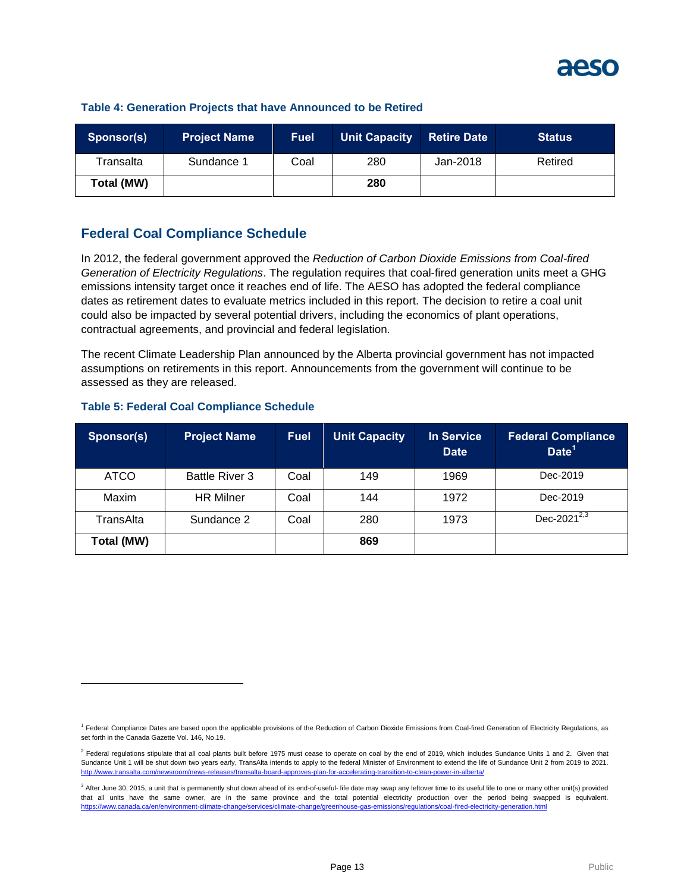

| Sponsor(s) | <b>Project Name</b> | <b>Fuel</b> | <b>Unit Capacity</b> | <b>Retire Date</b> | <b>Status</b> |
|------------|---------------------|-------------|----------------------|--------------------|---------------|
| Transalta  | Sundance 1          | Coal        | 280                  | Jan-2018           | Retired       |
| Total (MW) |                     |             | 280                  |                    |               |

#### **Table 4: Generation Projects that have Announced to be Retired**

### **Federal Coal Compliance Schedule**

In 2012, the federal government approved the *Reduction of Carbon Dioxide Emissions from Coal-fired Generation of Electricity Regulations*. The regulation requires that coal-fired generation units meet a GHG emissions intensity target once it reaches end of life. The AESO has adopted the federal compliance dates as retirement dates to evaluate metrics included in this report. The decision to retire a coal unit could also be impacted by several potential drivers, including the economics of plant operations, contractual agreements, and provincial and federal legislation.

The recent Climate Leadership Plan announced by the Alberta provincial government has not impacted assumptions on retirements in this report. Announcements from the government will continue to be assessed as they are released.

|  |  | <b>Table 5: Federal Coal Compliance Schedule</b> |
|--|--|--------------------------------------------------|
|  |  |                                                  |

l

| Sponsor(s)  | <b>Project Name</b>   | <b>Fuel</b> | <b>Unit Capacity</b> | <b>In Service</b><br><b>Date</b> | <b>Federal Compliance</b><br>Date <sup>1</sup> |
|-------------|-----------------------|-------------|----------------------|----------------------------------|------------------------------------------------|
| <b>ATCO</b> | <b>Battle River 3</b> | Coal        | 149                  | 1969                             | Dec-2019                                       |
| Maxim       | <b>HR</b> Milner      | Coal        | 144                  | 1972                             | Dec-2019                                       |
| TransAlta   | Sundance 2            | Coal        | 280                  | 1973                             | Dec-2021 $\overline{^{2,3}}$                   |
| Total (MW)  |                       |             | 869                  |                                  |                                                |

<sup>&</sup>lt;sup>1</sup> Federal Compliance Dates are based upon the applicable provisions of the Reduction of Carbon Dioxide Emissions from Coal-fired Generation of Electricity Regulations, as set forth in the Canada Gazette Vol. 146, No.19.

 $^2$  Federal regulations stipulate that all coal plants built before 1975 must cease to operate on coal by the end of 2019, which includes Sundance Units 1 and 2. Given that Sundance Unit 1 will be shut down two years early, TransAlta intends to apply to the federal Minister of Environment to extend the life of Sundance Unit 2 from 2019 to 2021.<br>http://www.transalta.com/newsroom/news-releases/ <http://www.transalta.com/newsroom/news-releases/transalta-board-approves-plan-for-accelerating-transition-to-clean-power-in-alberta/>

<sup>&</sup>lt;sup>3</sup> After June 30, 2015, a unit that is permanently shut down ahead of its end-of-useful- life date may swap any leftover time to its useful life to one or many other unit(s) provided that all units have the same owner, are in the same province and the total potential electricity production over the period being swapped is equivalent. <https://www.canada.ca/en/environment-climate-change/services/climate-change/greenhouse-gas-emissions/regulations/coal-fired-electricity-generation.html>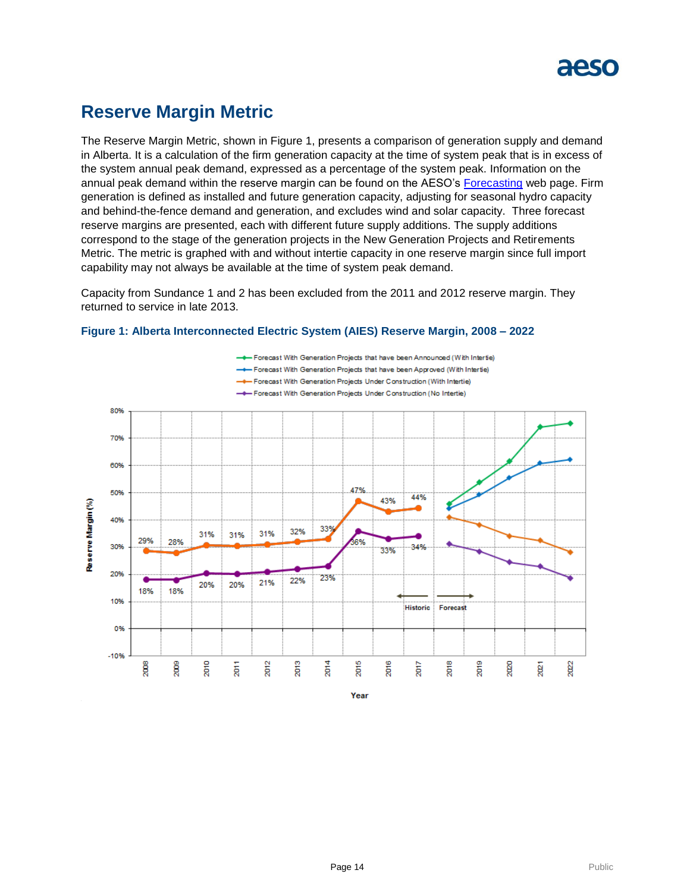

### **Reserve Margin Metric**

The Reserve Margin Metric, shown in Figure 1, presents a comparison of generation supply and demand in Alberta. It is a calculation of the firm generation capacity at the time of system peak that is in excess of the system annual peak demand, expressed as a percentage of the system peak. Information on the annual peak demand within the reserve margin can be found on the AESO's [Forecasting](https://www.aeso.ca/grid/forecasting) web page. Firm generation is defined as installed and future generation capacity, adjusting for seasonal hydro capacity and behind-the-fence demand and generation, and excludes wind and solar capacity. Three forecast reserve margins are presented, each with different future supply additions. The supply additions correspond to the stage of the generation projects in the New Generation Projects and Retirements Metric. The metric is graphed with and without intertie capacity in one reserve margin since full import capability may not always be available at the time of system peak demand.

Capacity from Sundance 1 and 2 has been excluded from the 2011 and 2012 reserve margin. They returned to service in late 2013.



#### **Figure 1: Alberta Interconnected Electric System (AIES) Reserve Margin, 2008 – 2022**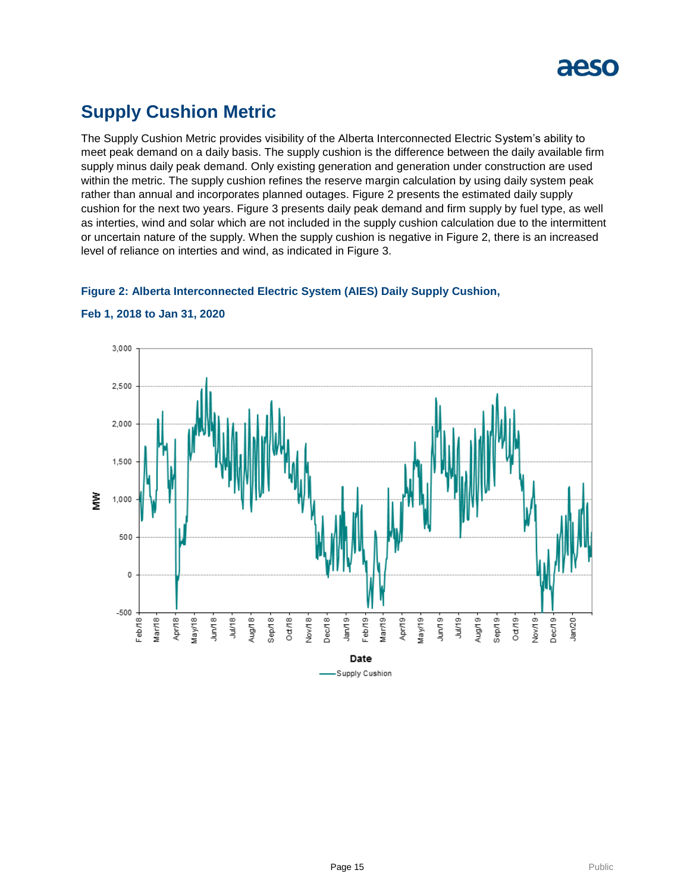

### **Supply Cushion Metric**

The Supply Cushion Metric provides visibility of the Alberta Interconnected Electric System's ability to meet peak demand on a daily basis. The supply cushion is the difference between the daily available firm supply minus daily peak demand. Only existing generation and generation under construction are used within the metric. The supply cushion refines the reserve margin calculation by using daily system peak rather than annual and incorporates planned outages. Figure 2 presents the estimated daily supply cushion for the next two years. Figure 3 presents daily peak demand and firm supply by fuel type, as well as interties, wind and solar which are not included in the supply cushion calculation due to the intermittent or uncertain nature of the supply. When the supply cushion is negative in Figure 2, there is an increased level of reliance on interties and wind, as indicated in Figure 3.

### **Figure 2: Alberta Interconnected Electric System (AIES) Daily Supply Cushion,**



#### **Feb 1, 2018 to Jan 31, 2020**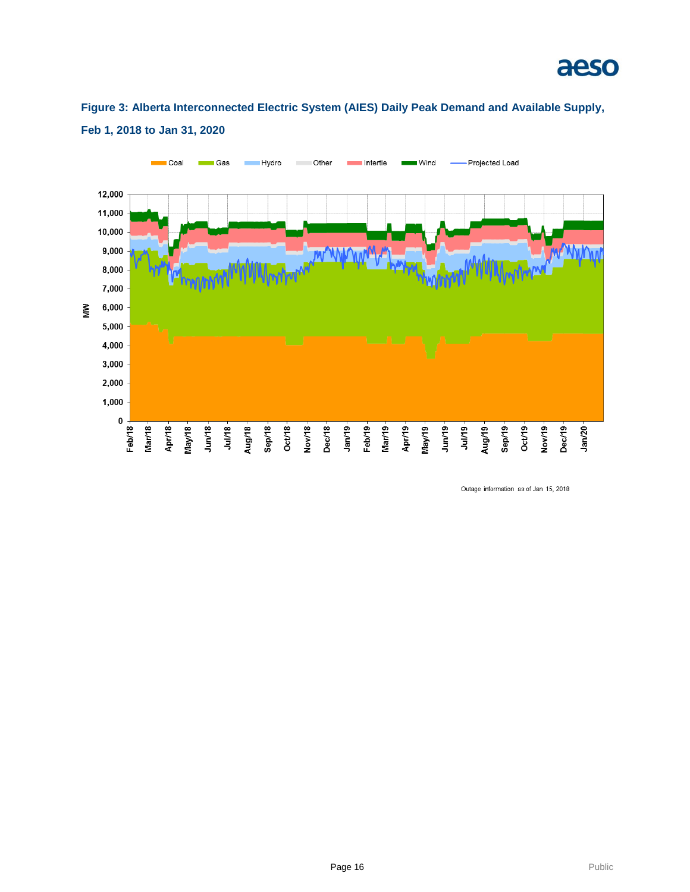

### **Figure 3: Alberta Interconnected Electric System (AIES) Daily Peak Demand and Available Supply, Feb 1, 2018 to Jan 31, 2020**



Outage information as of Jan 15, 2018